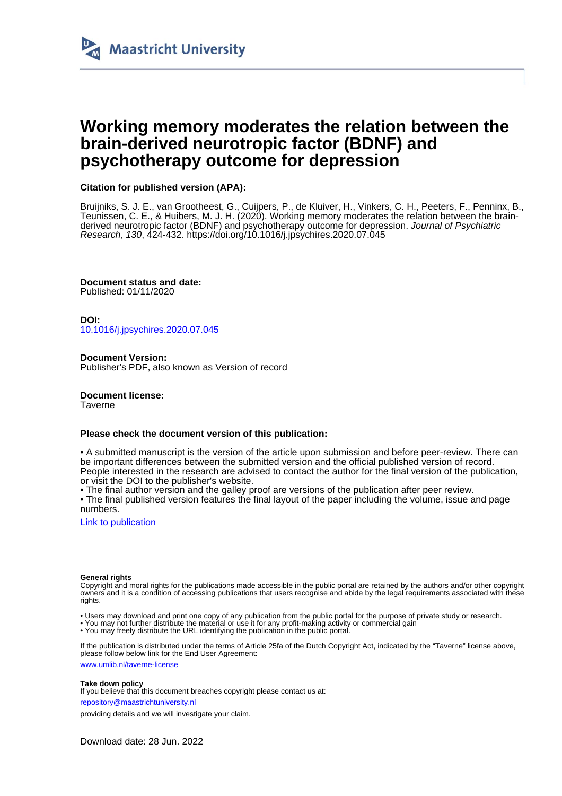

# **Working memory moderates the relation between the brain-derived neurotropic factor (BDNF) and psychotherapy outcome for depression**

# **Citation for published version (APA):**

Bruijniks, S. J. E., van Grootheest, G., Cuijpers, P., de Kluiver, H., Vinkers, C. H., Peeters, F., Penninx, B., Teunissen, C. E., & Huibers, M. J. H. (2020). Working memory moderates the relation between the brainderived neurotropic factor (BDNF) and psychotherapy outcome for depression. Journal of Psychiatric Research, 130, 424-432. <https://doi.org/10.1016/j.jpsychires.2020.07.045>

**Document status and date:** Published: 01/11/2020

**DOI:** [10.1016/j.jpsychires.2020.07.045](https://doi.org/10.1016/j.jpsychires.2020.07.045)

**Document Version:** Publisher's PDF, also known as Version of record

**Document license:** Taverne

# **Please check the document version of this publication:**

• A submitted manuscript is the version of the article upon submission and before peer-review. There can be important differences between the submitted version and the official published version of record. People interested in the research are advised to contact the author for the final version of the publication, or visit the DOI to the publisher's website.

• The final author version and the galley proof are versions of the publication after peer review.

• The final published version features the final layout of the paper including the volume, issue and page numbers.

[Link to publication](https://cris.maastrichtuniversity.nl/en/publications/0dbfa162-d330-4bc4-9f53-56f26f1af215)

# **General rights**

Copyright and moral rights for the publications made accessible in the public portal are retained by the authors and/or other copyright owners and it is a condition of accessing publications that users recognise and abide by the legal requirements associated with these rights.

• Users may download and print one copy of any publication from the public portal for the purpose of private study or research.

• You may not further distribute the material or use it for any profit-making activity or commercial gain

• You may freely distribute the URL identifying the publication in the public portal

If the publication is distributed under the terms of Article 25fa of the Dutch Copyright Act, indicated by the "Taverne" license above, please follow below link for the End User Agreement:

www.umlib.nl/taverne-license

# **Take down policy**

If you believe that this document breaches copyright please contact us at:

repository@maastrichtuniversity.nl

providing details and we will investigate your claim.

Download date: 28 Jun. 2022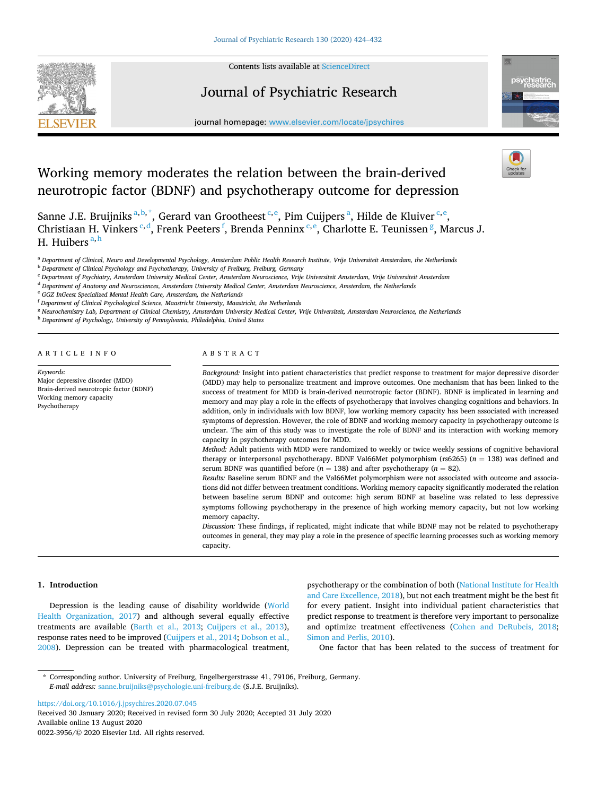

Contents lists available at [ScienceDirect](www.sciencedirect.com/science/journal/00223956)

# Journal of Psychiatric Research



journal homepage: [www.elsevier.com/locate/jpsychires](https://www.elsevier.com/locate/jpsychires)

# Working memory moderates the relation between the brain-derived neurotropic factor (BDNF) and psychotherapy outcome for depression

Sanne J.E. Bruijniks<sup>a, b,\*</sup>, Gerard van Grootheest <sup>c, e</sup>, Pim Cuijpers<sup>a</sup>, Hilde de Kluiver <sup>c, e</sup>, Christiaan H. Vinkers <sup>c,d</sup>, Frenk Peeters <sup>f</sup>, Brenda Penninx <sup>c,e</sup>, Charlotte E. Teunissen <sup>g</sup>, Marcus J. H. Huibers <sup>a, h</sup>

<sup>a</sup> *Department of Clinical, Neuro and Developmental Psychology, Amsterdam Public Health Research Institute, Vrije Universiteit Amsterdam, the Netherlands* 

<sup>c</sup> *Department of Psychiatry, Amsterdam University Medical Center, Amsterdam Neuroscience, Vrije Universiteit Amsterdam, Vrije Universiteit Amsterdam* 

<sup>d</sup> *Department of Anatomy and Neurosciences, Amsterdam University Medical Center, Amsterdam Neuroscience, Amsterdam, the Netherlands* 

<sup>e</sup> *GGZ InGeest Specialized Mental Health Care, Amsterdam, the Netherlands* 

<sup>f</sup> *Department of Clinical Psychological Science, Maastricht University, Maastricht, the Netherlands* 

<sup>g</sup> Neurochemistry Lab, Department of Clinical Chemistry, Amsterdam University Medical Center, Vrije Universiteit, Amsterdam Neuroscience, the Netherlands

<sup>h</sup> *Department of Psychology, University of Pennsylvania, Philadelphia, United States* 

ARTICLE INFO

*Keywords:*  Major depressive disorder (MDD) Brain-derived neurotropic factor (BDNF) Working memory capacity Psychotherapy

#### ABSTRACT

*Background:* Insight into patient characteristics that predict response to treatment for major depressive disorder (MDD) may help to personalize treatment and improve outcomes. One mechanism that has been linked to the success of treatment for MDD is brain-derived neurotropic factor (BDNF). BDNF is implicated in learning and memory and may play a role in the effects of psychotherapy that involves changing cognitions and behaviors. In addition, only in individuals with low BDNF, low working memory capacity has been associated with increased symptoms of depression. However, the role of BDNF and working memory capacity in psychotherapy outcome is unclear. The aim of this study was to investigate the role of BDNF and its interaction with working memory capacity in psychotherapy outcomes for MDD.

*Method:* Adult patients with MDD were randomized to weekly or twice weekly sessions of cognitive behavioral therapy or interpersonal psychotherapy. BDNF Val66Met polymorphism (rs6265) (*n* = 138) was defined and serum BDNF was quantified before  $(n = 138)$  and after psychotherapy  $(n = 82)$ .

*Results:* Baseline serum BDNF and the Val66Met polymorphism were not associated with outcome and associations did not differ between treatment conditions. Working memory capacity significantly moderated the relation between baseline serum BDNF and outcome: high serum BDNF at baseline was related to less depressive symptoms following psychotherapy in the presence of high working memory capacity, but not low working memory capacity.

*Discussion:* These findings, if replicated, might indicate that while BDNF may not be related to psychotherapy outcomes in general, they may play a role in the presence of specific learning processes such as working memory capacity.

#### **1. Introduction**

Depression is the leading cause of disability worldwide ([World](#page-9-0)  [Health Organization, 2017\)](#page-9-0) and although several equally effective treatments are available [\(Barth et al., 2013](#page-8-0); [Cuijpers et al., 2013](#page-8-0)), response rates need to be improved [\(Cuijpers et al., 2014; Dobson et al.,](#page-8-0)  [2008\)](#page-8-0). Depression can be treated with pharmacological treatment,

psychotherapy or the combination of both ([National Institute for Health](#page-9-0)  [and Care Excellence, 2018\)](#page-9-0), but not each treatment might be the best fit for every patient. Insight into individual patient characteristics that predict response to treatment is therefore very important to personalize and optimize treatment effectiveness [\(Cohen and DeRubeis, 2018](#page-8-0); [Simon and Perlis, 2010\)](#page-9-0).

One factor that has been related to the success of treatment for

<https://doi.org/10.1016/j.jpsychires.2020.07.045>

Available online 13 August 2020 0022-3956/© 2020 Elsevier Ltd. All rights reserved. Received 30 January 2020; Received in revised form 30 July 2020; Accepted 31 July 2020

<sup>b</sup> *Department of Clinical Psychology and Psychotherapy, University of Freiburg, Freiburg, Germany* 

<sup>\*</sup> Corresponding author. University of Freiburg, Engelbergerstrasse 41, 79106, Freiburg, Germany. *E-mail address:* [sanne.bruijniks@psychologie.uni-freiburg.de](mailto:sanne.bruijniks@psychologie.uni-freiburg.de) (S.J.E. Bruijniks).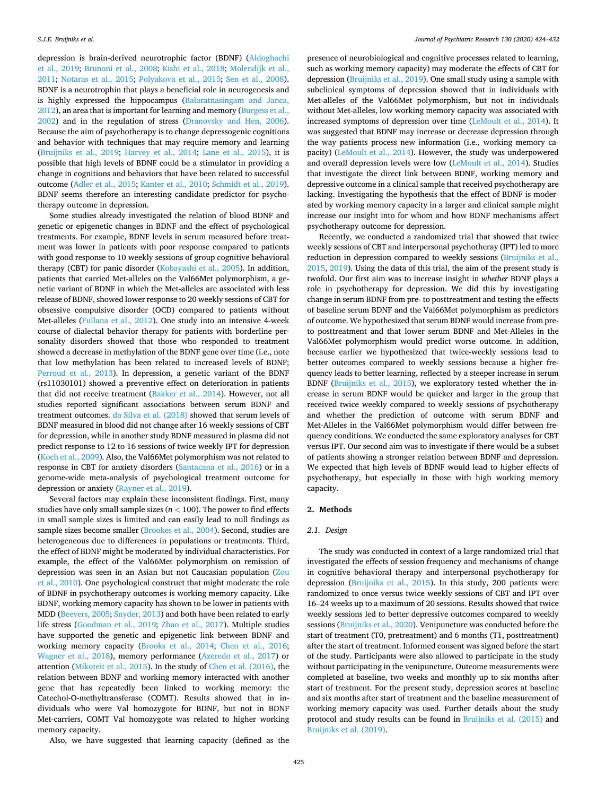depression is brain-derived neurotrophic factor (BDNF) ([Aldoghachi](#page-8-0)  [et al., 2019](#page-8-0); [Brunoni et al., 2008](#page-8-0); [Kishi et al., 2018](#page-9-0); [Molendijk et al.,](#page-9-0)  [2011;](#page-9-0) [Notaras et al., 2015](#page-9-0); [Polyakova et al., 2015](#page-9-0); [Sen et al., 2008](#page-9-0)). BDNF is a neurotrophin that plays a beneficial role in neurogenesis and is highly expressed the hippocampus ([Balaratnasingam and Janca,](#page-8-0)  [2012\)](#page-8-0), an area that is important for learning and memory ([Burgess et al.,](#page-8-0)  [2002\)](#page-8-0) and in the regulation of stress [\(Dranovsky and Hen, 2006](#page-8-0)). Because the aim of psychotherapy is to change depressogenic cognitions and behavior with techniques that may require memory and learning ([Bruijniks et al., 2019;](#page-8-0) [Harvey et al., 2014](#page-9-0); [Lane et al., 2015](#page-9-0)), it is possible that high levels of BDNF could be a stimulator in providing a change in cognitions and behaviors that have been related to successful outcome [\(Adler et al., 2015;](#page-8-0) [Kanter et al., 2010;](#page-9-0) [Schmidt et al., 2019](#page-9-0)). BDNF seems therefore an interesting candidate predictor for psychotherapy outcome in depression.

Some studies already investigated the relation of blood BDNF and genetic or epigenetic changes in BDNF and the effect of psychological treatments. For example, BDNF levels in serum measured before treatment was lower in patients with poor response compared to patients with good response to 10 weekly sessions of group cognitive behavioral therapy (CBT) for panic disorder ([Kobayashi et al., 2005](#page-9-0)). In addition, patients that carried Met-alleles on the Val66Met polymorphism, a genetic variant of BDNF in which the Met-alleles are associated with less release of BDNF, showed lower response to 20 weekly sessions of CBT for obsessive compulsive disorder (OCD) compared to patients without Met-alleles ([Fullana et al., 2012](#page-8-0)). One study into an intensive 4-week course of dialectal behavior therapy for patients with borderline personality disorders showed that those who responded to treatment showed a decrease in methylation of the BDNF gene over time (i.e., note that low methylation has been related to increased levels of BDNF; [Perroud et al., 2013\)](#page-9-0). In depression, a genetic variant of the BDNF (rs11030101) showed a preventive effect on deterioration in patients that did not receive treatment ([Bakker et al., 2014](#page-8-0)). However, not all studies reported significant associations between serum BDNF and treatment outcomes. [da Silva et al. \(2018\)](#page-8-0) showed that serum levels of BDNF measured in blood did not change after 16 weekly sessions of CBT for depression, while in another study BDNF measured in plasma did not predict response to 12 to 16 sessions of twice weekly IPT for depression ([Koch et al., 2009\)](#page-9-0). Also, the Val66Met polymorphism was not related to response in CBT for anxiety disorders [\(Santacana et al., 2016](#page-9-0)) or in a genome-wide meta-analysis of psychological treatment outcome for depression or anxiety ([Rayner et al., 2019](#page-9-0)).

Several factors may explain these inconsistent findings. First, many studies have only small sample sizes ( $n < 100$ ). The power to find effects in small sample sizes is limited and can easily lead to null findings as sample sizes become smaller ([Brookes et al., 2004\)](#page-8-0). Second, studies are heterogeneous due to differences in populations or treatments. Third, the effect of BDNF might be moderated by individual characteristics. For example, the effect of the Val66Met polymorphism on remission of depression was seen in an Asian but not Caucasian population [\(Zou](#page-9-0)  [et al., 2010\)](#page-9-0). One psychological construct that might moderate the role of BDNF in psychotherapy outcomes is working memory capacity. Like BDNF, working memory capacity has shown to be lower in patients with MDD ([Beevers, 2005;](#page-8-0) [Snyder, 2013](#page-9-0)) and both have been related to early life stress [\(Goodman et al., 2019;](#page-8-0) [Zhao et al., 2017](#page-9-0)). Multiple studies have supported the genetic and epigenetic link between BDNF and working memory capacity [\(Brooks et al., 2014;](#page-8-0) [Chen et al., 2016](#page-8-0); [Wagner et al., 2018\)](#page-9-0), memory performance [\(Azeredo et al., 2017](#page-8-0)) or attention ([Mikoteit et al., 2015](#page-9-0)). In the study of [Chen et al. \(2016\),](#page-8-0) the relation between BDNF and working memory interacted with another gene that has repeatedly been linked to working memory: the Catechol-O-methyltransferase (COMT). Results showed that in individuals who were Val homozygote for BDNF, but not in BDNF Met-carriers, COMT Val homozygote was related to higher working memory capacity.

Also, we have suggested that learning capacity (defined as the

presence of neurobiological and cognitive processes related to learning, such as working memory capacity) may moderate the effects of CBT for depression [\(Bruijniks et al., 2019](#page-8-0)). One small study using a sample with subclinical symptoms of depression showed that in individuals with Met-alleles of the Val66Met polymorphism, but not in individuals without Met-alleles, low working memory capacity was associated with increased symptoms of depression over time [\(LeMoult et al., 2014](#page-9-0)). It was suggested that BDNF may increase or decrease depression through the way patients process new information (i.e., working memory capacity) ([LeMoult et al., 2014\)](#page-9-0). However, the study was underpowered and overall depression levels were low [\(LeMoult et al., 2014](#page-9-0)). Studies that investigate the direct link between BDNF, working memory and depressive outcome in a clinical sample that received psychotherapy are lacking. Investigating the hypothesis that the effect of BDNF is moderated by working memory capacity in a larger and clinical sample might increase our insight into for whom and how BDNF mechanisms affect psychotherapy outcome for depression.

Recently, we conducted a randomized trial that showed that twice weekly sessions of CBT and interpersonal psychotheray (IPT) led to more reduction in depression compared to weekly sessions ([Bruijniks et al.,](#page-8-0)  [2015, 2019\)](#page-8-0). Using the data of this trial, the aim of the present study is twofold. Our first aim was to increase insight in *whether* BDNF plays a role in psychotherapy for depression. We did this by investigating change in serum BDNF from pre- to posttreatment and testing the effects of baseline serum BDNF and the Val66Met polymorphism as predictors of outcome. We hypothesized that serum BDNF would increase from preto posttreatment and that lower serum BDNF and Met-Alleles in the Val66Met polymorphism would predict worse outcome. In addition, because earlier we hypothesized that twice-weekly sessions lead to better outcomes compared to weekly sessions because a higher frequency leads to better learning, reflected by a steeper increase in serum BDNF [\(Bruijniks et al., 2015\)](#page-8-0), we exploratory tested whether the increase in serum BDNF would be quicker and larger in the group that received twice weekly compared to weekly sessions of psychotherapy and whether the prediction of outcome with serum BDNF and Met-Alleles in the Val66Met polymorphism would differ between frequency conditions. We conducted the same exploratory analyses for CBT versus IPT. Our second aim was to investigate if there would be a subset of patients showing a stronger relation between BDNF and depression. We expected that high levels of BDNF would lead to higher effects of psychotherapy, but especially in those with high working memory capacity.

### **2. Methods**

#### *2.1. Design*

The study was conducted in context of a large randomized trial that investigated the effects of session frequency and mechanisms of change in cognitive behavioral therapy and interpersonal psychotherapy for depression ([Bruijniks et al., 2015](#page-8-0)). In this study, 200 patients were randomized to once versus twice weekly sessions of CBT and IPT over 16–24 weeks up to a maximum of 20 sessions. Results showed that twice weekly sessions led to better depressive outcomes compared to weekly sessions [\(Bruijniks et al., 2020](#page-8-0)). Venipuncture was conducted before the start of treatment (T0, pretreatment) and 6 months (T1, posttreatment) after the start of treatment. Informed consent was signed before the start of the study. Participants were also allowed to participate in the study without participating in the venipuncture. Outcome measurements were completed at baseline, two weeks and monthly up to six months after start of treatment. For the present study, depression scores at baseline and six months after start of treatment and the baseline measurement of working memory capacity was used. Further details about the study protocol and study results can be found in [Bruijniks et al. \(2015\)](#page-8-0) and [Bruijniks et al. \(2019\).](#page-8-0)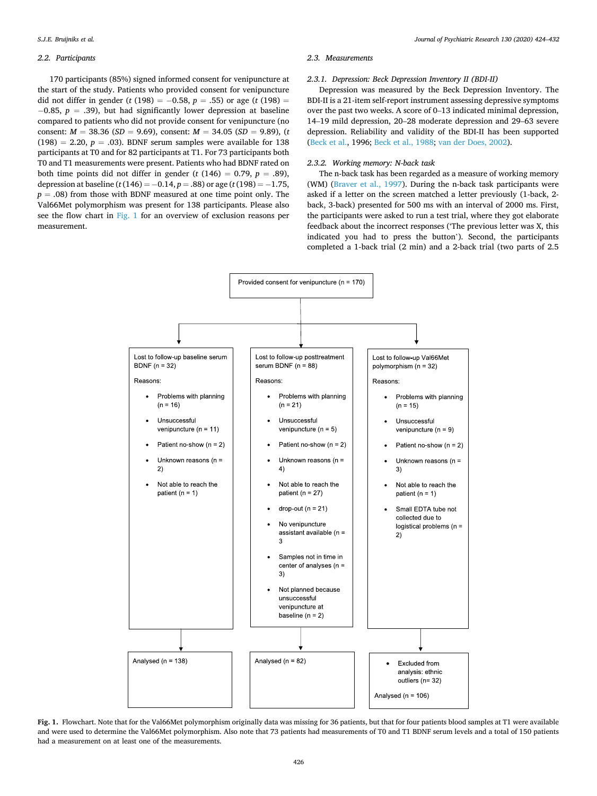# *2.2. Participants*

170 participants (85%) signed informed consent for venipuncture at the start of the study. Patients who provided consent for venipuncture did not differ in gender ( $t$  (198) =  $-0.58$ ,  $p = .55$ ) or age ( $t$  (198) = − 0.85, *p* = .39), but had significantly lower depression at baseline compared to patients who did not provide consent for venipuncture (no consent:  $M = 38.36$  (*SD* = 9.69), consent:  $M = 34.05$  (*SD* = 9.89), (*t*  $(198) = 2.20, p = .03$ . BDNF serum samples were available for 138 participants at T0 and for 82 participants at T1. For 73 participants both T0 and T1 measurements were present. Patients who had BDNF rated on both time points did not differ in gender ( $t$  (146) = 0.79,  $p = .89$ ), depression at baseline (*t* (146) = − 0.14, *p* = .88) or age (*t* (198) = − 1.75,  $p = .08$ ) from those with BDNF measured at one time point only. The Val66Met polymorphism was present for 138 participants. Please also see the flow chart in Fig. 1 for an overview of exclusion reasons per measurement.

#### *2.3. Measurements*

#### *2.3.1. Depression: Beck Depression Inventory II (BDI-II)*

Depression was measured by the Beck Depression Inventory. The BDI-II is a 21-item self-report instrument assessing depressive symptoms over the past two weeks. A score of 0–13 indicated minimal depression, 14–19 mild depression, 20–28 moderate depression and 29–63 severe depression. Reliability and validity of the BDI-II has been supported ([Beck et al.](#page-8-0), 1996; [Beck et al., 1988;](#page-8-0) [van der Does, 2002](#page-9-0)).

# *2.3.2. Working memory: N-back task*

The n-back task has been regarded as a measure of working memory (WM) [\(Braver et al., 1997](#page-8-0)). During the n-back task participants were asked if a letter on the screen matched a letter previously (1-back, 2 back, 3-back) presented for 500 ms with an interval of 2000 ms. First, the participants were asked to run a test trial, where they got elaborate feedback about the incorrect responses ('The previous letter was X, this indicated you had to press the button'). Second, the participants completed a 1-back trial (2 min) and a 2-back trial (two parts of 2.5



**Fig. 1.** Flowchart. Note that for the Val66Met polymorphism originally data was missing for 36 patients, but that for four patients blood samples at T1 were available and were used to determine the Val66Met polymorphism. Also note that 73 patients had measurements of T0 and T1 BDNF serum levels and a total of 150 patients had a measurement on at least one of the measurements.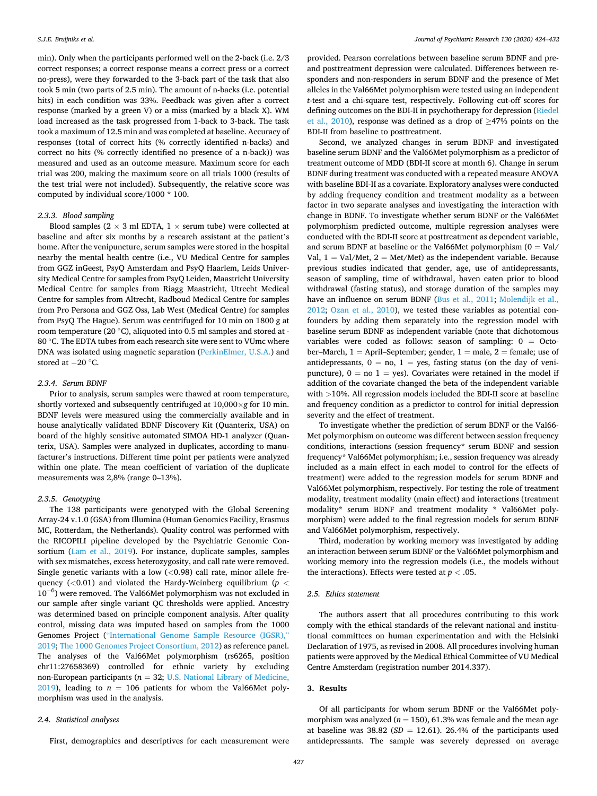min). Only when the participants performed well on the 2-back (i.e. 2/3 correct responses; a correct response means a correct press or a correct no-press), were they forwarded to the 3-back part of the task that also took 5 min (two parts of 2.5 min). The amount of n-backs (i.e. potential hits) in each condition was 33%. Feedback was given after a correct response (marked by a green V) or a miss (marked by a black X). WM load increased as the task progressed from 1-back to 3-back. The task took a maximum of 12.5 min and was completed at baseline. Accuracy of responses (total of correct hits (% correctly identified n-backs) and correct no hits (% correctly identified no presence of a n-back)) was measured and used as an outcome measure. Maximum score for each trial was 200, making the maximum score on all trials 1000 (results of the test trial were not included). Subsequently, the relative score was computed by individual score/1000 \* 100.

#### *2.3.3. Blood sampling*

Blood samples ( $2 \times 3$  ml EDTA,  $1 \times$  serum tube) were collected at baseline and after six months by a research assistant at the patient's home. After the venipuncture, serum samples were stored in the hospital nearby the mental health centre (i.e., VU Medical Centre for samples from GGZ inGeest, PsyQ Amsterdam and PsyQ Haarlem, Leids University Medical Centre for samples from PsyQ Leiden, Maastricht University Medical Centre for samples from Riagg Maastricht, Utrecht Medical Centre for samples from Altrecht, Radboud Medical Centre for samples from Pro Persona and GGZ Oss, Lab West (Medical Centre) for samples from PsyQ The Hague). Serum was centrifuged for 10 min on 1800 g at room temperature (20 ◦C), aliquoted into 0.5 ml samples and stored at - 80 ℃. The EDTA tubes from each research site were sent to VUmc where DNA was isolated using magnetic separation [\(PerkinElmer, U.S.A.](#page-9-0)) and stored at −20 °C.

#### *2.3.4. Serum BDNF*

Prior to analysis, serum samples were thawed at room temperature, shortly vortexed and subsequently centrifuged at 10,000×*g* for 10 min. BDNF levels were measured using the commercially available and in house analytically validated BDNF Discovery Kit (Quanterix, USA) on board of the highly sensitive automated SIMOA HD-1 analyzer (Quanterix, USA). Samples were analyzed in duplicates, according to manufacturer's instructions. Different time point per patients were analyzed within one plate. The mean coefficient of variation of the duplicate measurements was 2,8% (range 0–13%).

#### *2.3.5. Genotyping*

The 138 participants were genotyped with the Global Screening Array-24 v.1.0 (GSA) from Illumina (Human Genomics Facility, Erasmus MC, Rotterdam, the Netherlands). Quality control was performed with the RICOPILI pipeline developed by the Psychiatric Genomic Con-sortium [\(Lam et al., 2019](#page-9-0)). For instance, duplicate samples, samples with sex mismatches, excess heterozygosity, and call rate were removed. Single genetic variants with a low (*<*0.98) call rate, minor allele frequency (*<*0.01) and violated the Hardy-Weinberg equilibrium (*p <*  $10^{-6}$ ) were removed. The Val66Met polymorphism was not excluded in our sample after single variant QC thresholds were applied. Ancestry was determined based on principle component analysis. After quality control, missing data was imputed based on samples from the 1000 Genomes Project ("[International Genome Sample Resource \(IGSR\),](#page-9-0)" [2019; The 1000 Genomes Project Consortium, 2012](#page-9-0)) as reference panel. The analyses of the Val66Met polymorphism (rs6265, position chr11:27658369) controlled for ethnic variety by excluding non-European participants (*n* = 32; [U.S. National Library of Medicine,](#page-9-0)   $2019$ ), leading to  $n = 106$  patients for whom the Val66Met polymorphism was used in the analysis.

# *2.4. Statistical analyses*

First, demographics and descriptives for each measurement were

provided. Pearson correlations between baseline serum BDNF and preand posttreatment depression were calculated. Differences between responders and non-responders in serum BDNF and the presence of Met alleles in the Val66Met polymorphism were tested using an independent *t*-test and a chi-square test, respectively. Following cut-off scores for defining outcomes on the BDI-II in psychotherapy for depression [\(Riedel](#page-9-0)  [et al., 2010](#page-9-0)), response was defined as a drop of  $\geq$ 47% points on the BDI-II from baseline to posttreatment.

Second, we analyzed changes in serum BDNF and investigated baseline serum BDNF and the Val66Met polymorphism as a predictor of treatment outcome of MDD (BDI-II score at month 6). Change in serum BDNF during treatment was conducted with a repeated measure ANOVA with baseline BDI-II as a covariate. Exploratory analyses were conducted by adding frequency condition and treatment modality as a between factor in two separate analyses and investigating the interaction with change in BDNF. To investigate whether serum BDNF or the Val66Met polymorphism predicted outcome, multiple regression analyses were conducted with the BDI-II score at posttreatment as dependent variable, and serum BDNF at baseline or the Val66Met polymorphism  $(0 = Val$ Val,  $1 =$  Val/Met,  $2 =$  Met/Met) as the independent variable. Because previous studies indicated that gender, age, use of antidepressants, season of sampling, time of withdrawal, haven eaten prior to blood withdrawal (fasting status), and storage duration of the samples may have an influence on serum BDNF [\(Bus et al., 2011](#page-8-0); [Molendijk et al.,](#page-9-0)  [2012;](#page-9-0) [Ozan et al., 2010\)](#page-9-0), we tested these variables as potential confounders by adding them separately into the regression model with baseline serum BDNF as independent variable (note that dichotomous variables were coded as follows: season of sampling: 0 = October–March,  $1 =$  April–September; gender,  $1 =$  male,  $2 =$  female; use of antidepressants,  $0 = no$ ,  $1 = yes$ , fasting status (on the day of venipuncture),  $0 = no$  1 = yes). Covariates were retained in the model if addition of the covariate changed the beta of the independent variable with *>*10%. All regression models included the BDI-II score at baseline and frequency condition as a predictor to control for initial depression severity and the effect of treatment.

To investigate whether the prediction of serum BDNF or the Val66-Met polymorphism on outcome was different between session frequency conditions, interactions (session frequency\* serum BDNF and session frequency\* Val66Met polymorphism; i.e., session frequency was already included as a main effect in each model to control for the effects of treatment) were added to the regression models for serum BDNF and Val66Met polymorphism, respectively. For testing the role of treatment modality, treatment modality (main effect) and interactions (treatment modality\* serum BDNF and treatment modality \* Val66Met polymorphism) were added to the final regression models for serum BDNF and Val66Met polymorphism, respectively.

Third, moderation by working memory was investigated by adding an interaction between serum BDNF or the Val66Met polymorphism and working memory into the regression models (i.e., the models without the interactions). Effects were tested at  $p < .05$ .

#### *2.5. Ethics statement*

The authors assert that all procedures contributing to this work comply with the ethical standards of the relevant national and institutional committees on human experimentation and with the Helsinki Declaration of 1975, as revised in 2008. All procedures involving human patients were approved by the Medical Ethical Committee of VU Medical Centre Amsterdam (registration number 2014.337).

#### **3. Results**

Of all participants for whom serum BDNF or the Val66Met polymorphism was analyzed ( $n = 150$ ), 61.3% was female and the mean age at baseline was  $38.82$  ( $SD = 12.61$ ). 26.4% of the participants used antidepressants. The sample was severely depressed on average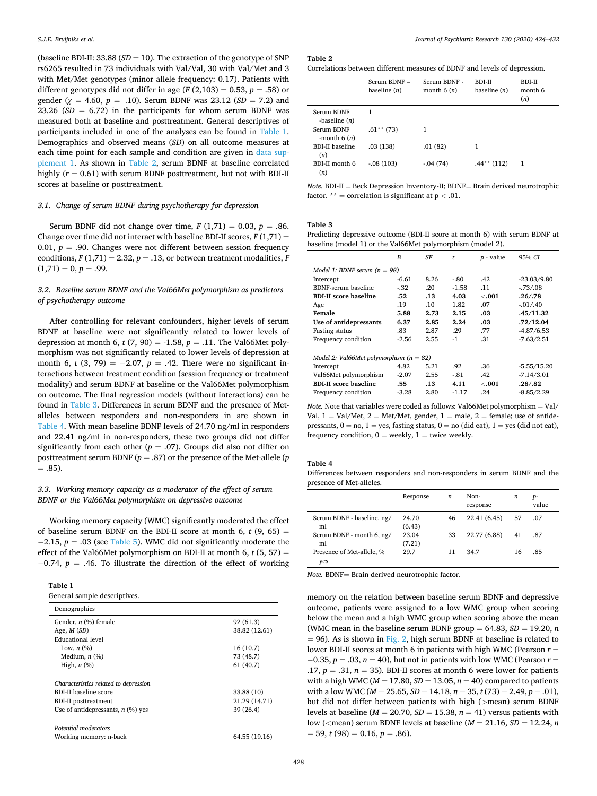(baseline BDI-II:  $33.88$  ( $SD = 10$ ). The extraction of the genotype of SNP rs6265 resulted in 73 individuals with Val/Val, 30 with Val/Met and 3 with Met/Met genotypes (minor allele frequency: 0.17). Patients with different genotypes did not differ in age  $(F(2,103) = 0.53, p = .58)$  or gender ( $\chi$  = 4.60,  $p = .10$ ). Serum BDNF was 23.12 (*SD* = 7.2) and 23.26  $(SD = 6.72)$  in the participants for whom serum BDNF was measured both at baseline and posttreatment. General descriptives of participants included in one of the analyses can be found in Table 1. Demographics and observed means (*SD*) on all outcome measures at each time point for each sample and condition are given in [data sup](#page-7-0)[plement 1](#page-7-0). As shown in Table 2, serum BDNF at baseline correlated highly  $(r = 0.61)$  with serum BDNF posttreatment, but not with BDI-II scores at baseline or posttreatment.

#### *3.1. Change of serum BDNF during psychotherapy for depression*

Serum BDNF did not change over time,  $F(1,71) = 0.03$ ,  $p = .86$ . Change over time did not interact with baseline BDI-II scores,  $F(1,71) =$ 0.01,  $p = .90$ . Changes were not different between session frequency conditions,  $F(1,71) = 2.32$ ,  $p = .13$ , or between treatment modalities,  $F$  $(1,71) = 0, p = .99.$ 

# *3.2. Baseline serum BDNF and the Val66Met polymorphism as predictors of psychotherapy outcome*

After controlling for relevant confounders, higher levels of serum BDNF at baseline were not significantly related to lower levels of depression at month 6,  $t$  (7, 90) = -1.58,  $p = .11$ . The Val66Met polymorphism was not significantly related to lower levels of depression at month 6,  $t$  (3, 79) =  $-2.07$ ,  $p = .42$ . There were no significant interactions between treatment condition (session frequency or treatment modality) and serum BDNF at baseline or the Val66Met polymorphism on outcome. The final regression models (without interactions) can be found in Table 3. Differences in serum BDNF and the presence of Metalleles between responders and non-responders in are shown in Table 4. With mean baseline BDNF levels of 24.70 ng/ml in responders and 22.41 ng/ml in non-responders, these two groups did not differ significantly from each other ( $p = .07$ ). Groups did also not differ on posttreatment serum BDNF (*p* = .87) or the presence of the Met-allele (*p*   $=.85).$ 

# *3.3. Working memory capacity as a moderator of the effect of serum BDNF or the Val66Met polymorphism on depressive outcome*

Working memory capacity (WMC) significantly moderated the effect of baseline serum BDNF on the BDI-II score at month 6,  $t$  (9, 65) = − 2.15, *p* = .03 (see [Table 5](#page-6-0)). WMC did not significantly moderate the effect of the Val66Met polymorphism on BDI-II at month 6, *t* (5, 57) = − 0.74, *p* = .46. To illustrate the direction of the effect of working

| c<br>L<br>۰. |  |
|--------------|--|
|              |  |

|  | General sample descriptives. |
|--|------------------------------|
|--|------------------------------|

| Demographics                          |               |
|---------------------------------------|---------------|
| Gender, $n$ (%) female                | 92 (61.3)     |
| Age, $M(SD)$                          | 38.82 (12.61) |
| Educational level                     |               |
| Low, $n$ $(\%)$                       | 16(10.7)      |
| Medium, $n$ $(\%)$                    | 73 (48.7)     |
| High, $n$ $(\%)$                      | 61 (40.7)     |
| Characteristics related to depression |               |
| BDI-II baseline score                 | 33.88 (10)    |
| <b>BDI-II</b> posttreatment           | 21.29 (14.71) |
| Use of antidepressants, $n$ (%) yes   | 39 (26.4)     |
| Potential moderators                  |               |
| Working memory: n-back                | 64.55 (19.16) |

#### **Table 2**

| Correlations between different measures of BDNF and levels of depression. |  |
|---------------------------------------------------------------------------|--|
|---------------------------------------------------------------------------|--|

|                               | Serum $BDNF -$<br>baseline $(n)$ | Serum BDNF -<br>month $6(n)$ | <b>BDI-II</b><br>baseline $(n)$ | <b>BDI-II</b><br>month 6<br>(n) |
|-------------------------------|----------------------------------|------------------------------|---------------------------------|---------------------------------|
| Serum BDNF<br>-baseline $(n)$ | 1                                |                              |                                 |                                 |
| Serum BDNF<br>-month $6(n)$   | $.61**$ (73)                     | 1                            |                                 |                                 |
| <b>BDI-II</b> baseline<br>(n) | .03(138)                         | .01(82)                      | 1                               |                                 |
| BDI-II month 6<br>(n)         | $-.08(103)$                      | $-0.04(74)$                  | $.44**(112)$                    | 1                               |

*Note.* **BDI-II** = Beck Depression Inventory-II; **BDNF**= Brain derived neurotrophic factor. \*\* = correlation is significant at p *<* .01.

#### **Table 3**

Predicting depressive outcome (BDI-II score at month 6) with serum BDNF at baseline (model 1) or the Val66Met polymorphism (model 2).

|                                             | B       | SE   | $\ddot{}$ | $p$ - value | 95% CI        |  |  |  |
|---------------------------------------------|---------|------|-----------|-------------|---------------|--|--|--|
| Model 1: BDNF serum $(n = 98)$              |         |      |           |             |               |  |  |  |
| Intercept                                   | $-6.61$ | 8.26 | -.80      | .42         | $-23.03/9.80$ |  |  |  |
| BDNF-serum baseline                         | $-32$   | .20  | $-1.58$   | .11         | $-73/08$      |  |  |  |
| <b>BDI-II score baseline</b>                | .52     | .13  | 4.03      | $-.001$     | .26/0.78      |  |  |  |
| Age                                         | .19     | .10  | 1.82      | .07         | $-01/0.40$    |  |  |  |
| Female                                      | 5.88    | 2.73 | 2.15      | .03         | .45/11.32     |  |  |  |
| Use of antidepressants                      | 6.37    | 2.85 | 2.24      | .03         | .72/12.04     |  |  |  |
| <b>Fasting status</b>                       | .83     | 2.87 | .29       | .77         | $-4.87/6.53$  |  |  |  |
| Frequency condition                         | $-2.56$ | 2.55 | $-1$      | .31         | $-7.63/2.51$  |  |  |  |
|                                             |         |      |           |             |               |  |  |  |
| Model 2: Val66Met polymorphism ( $n = 82$ ) |         |      |           |             |               |  |  |  |
| Intercept                                   | 4.82    | 5.21 | .92       | .36         | $-5.55/15.20$ |  |  |  |
| Val66Met polymorphism                       | $-2.07$ | 2.55 | -.81      | .42         | $-7.14/3.01$  |  |  |  |
| <b>BDI-II score baseline</b>                | .55     | .13  | 4.11      | $-.001$     | .28/.82       |  |  |  |
| Frequency condition                         | $-3.28$ | 2.80 | $-1.17$   | .24         | $-8.85/2.29$  |  |  |  |

*Note.* Note that variables were coded as follows: Val66Met polymorphism = Val/ Val,  $1 =$  Val/Met,  $2 =$  Met/Met, gender,  $1 =$  male,  $2 =$  female; use of antidepressants,  $0 = no$ ,  $1 = yes$ , fasting status,  $0 = no$  (did eat),  $1 = yes$  (did not eat), frequency condition,  $0 =$  weekly,  $1 =$  twice weekly.

#### **Table 4**

Differences between responders and non-responders in serum BDNF and the presence of Met-alleles.

|                                  | Response        | n  | Non-<br>response | n  | $p-$<br>value |
|----------------------------------|-----------------|----|------------------|----|---------------|
| Serum BDNF - baseline, ng/<br>ml | 24.70<br>(6.43) | 46 | 22.41 (6.45)     | 57 | .07           |
| Serum BDNF - month 6, ng/<br>ml  | 23.04<br>(7.21) | 33 | 22.77 (6.88)     | 41 | .87           |
| Presence of Met-allele, %<br>yes | 29.7            | 11 | 34.7             | 16 | .85           |

*Note.* BDNF= Brain derived neurotrophic factor.

memory on the relation between baseline serum BDNF and depressive outcome, patients were assigned to a low WMC group when scoring below the mean and a high WMC group when scoring above the mean (WMC mean in the baseline serum BDNF group  $= 64.83$ ,  $SD = 19.20$ , *n*  $= 96$ ). As is shown in [Fig. 2,](#page-6-0) high serum BDNF at baseline is related to lower BDI-II scores at month 6 in patients with high WMC (Pearson *r* = − 0.35, *p* = .03, *n* = 40), but not in patients with low WMC (Pearson *r* = .17,  $p = .31$ ,  $n = 35$ ). BDI-II scores at month 6 were lower for patients with a high WMC (*M* = 17.80, *SD* = 13.05, *n* = 40) compared to patients with a low WMC (*M* = 25.65, *SD* = 14.18, *n* = 35, *t* (73) = 2.49, *p* = .01), but did not differ between patients with high (*>*mean) serum BDNF levels at baseline ( $M = 20.70$ ,  $SD = 15.38$ ,  $n = 41$ ) versus patients with low (*<*mean) serum BDNF levels at baseline (*M* = 21.16, *SD* = 12.24, *n*   $= 59$ , *t* (98)  $= 0.16$ , *p*  $= .86$ ).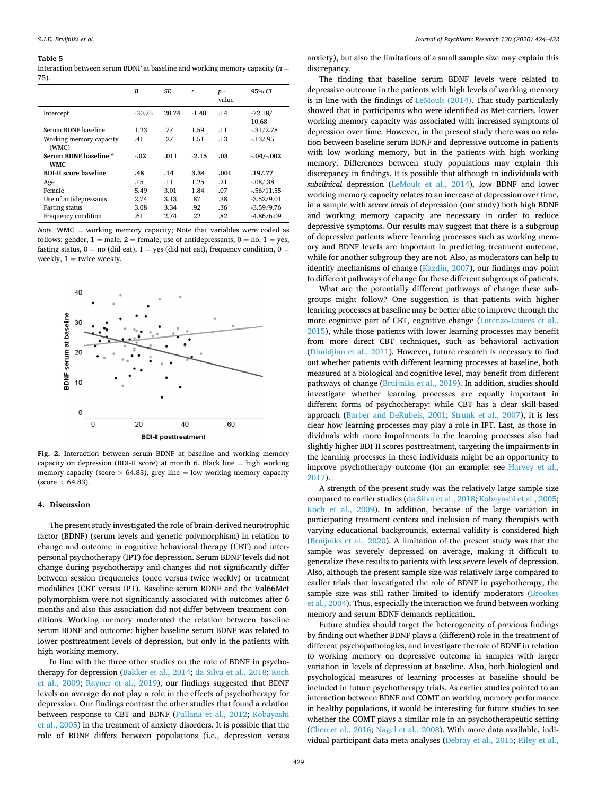#### <span id="page-6-0"></span>**Table 5**

Interaction between serum BDNF at baseline and working memory capacity  $(n =$ 75).

|                                     | $\boldsymbol{B}$ | SF.   | t       | $p -$<br>value | 95% CI             |
|-------------------------------------|------------------|-------|---------|----------------|--------------------|
| Intercept                           | $-30.75$         | 20.74 | $-1.48$ | .14            | $-72.18/$<br>10.68 |
| Serum BDNF baseline                 | 1.23             | .77   | 1.59    | .11            | $-31/2.78$         |
| Working memory capacity<br>(WMC)    | .41              | .27   | 1.51    | .13            | $-13/0.95$         |
| Serum BDNF baseline *<br><b>WMC</b> | $-.02$           | .011  | $-2.15$ | .03            | $-.04/.002$        |
| <b>BDI-II score baseline</b>        | .48              | .14   | 3.34    | .001           | .19/.77            |
| Age                                 | .15              | .11   | 1.25    | .21            | $-08/38$           |
| Female                              | 5.49             | 3.01  | 1.84    | .07            | $-56/11.55$        |
| Use of antidepressants              | 2.74             | 3.13  | .87     | .38            | $-3.52/9.01$       |
| <b>Fasting status</b>               | 3.08             | 3.34  | .92     | .36            | $-3.59/9.76$       |
| Frequency condition                 | .61              | 2.74  | .22     | .82            | $-4.86/6.09$       |

*Note.* WMC = working memory capacity; Note that variables were coded as follows: gender,  $1 =$  male,  $2 =$  female; use of antidepressants,  $0 =$  no,  $1 =$  yes, fasting status,  $0 =$  no (did eat),  $1 =$  yes (did not eat), frequency condition,  $0 =$ weekly,  $1 =$  twice weekly.



**Fig. 2.** Interaction between serum BDNF at baseline and working memory capacity on depression (BDI-II score) at month 6. Black line = high working memory capacity (score  $> 64.83$ ), grey line  $=$  low working memory capacity (score *<* 64.83).

#### **4. Discussion**

The present study investigated the role of brain-derived neurotrophic factor (BDNF) (serum levels and genetic polymorphism) in relation to change and outcome in cognitive behavioral therapy (CBT) and interpersonal psychotherapy (IPT) for depression. Serum BDNF levels did not change during psychotherapy and changes did not significantly differ between session frequencies (once versus twice weekly) or treatment modalities (CBT versus IPT). Baseline serum BDNF and the Val66Met polymorphism were not significantly associated with outcomes after 6 months and also this association did not differ between treatment conditions. Working memory moderated the relation between baseline serum BDNF and outcome: higher baseline serum BDNF was related to lower posttreatment levels of depression, but only in the patients with high working memory.

In line with the three other studies on the role of BDNF in psychotherapy for depression ([Bakker et al., 2014](#page-8-0); [da Silva et al., 2018](#page-8-0); [Koch](#page-9-0)  [et al., 2009](#page-9-0); [Rayner et al., 2019\)](#page-9-0), our findings suggested that BDNF levels on average do not play a role in the effects of psychotherapy for depression. Our findings contrast the other studies that found a relation between response to CBT and BDNF [\(Fullana et al., 2012;](#page-8-0) [Kobayashi](#page-9-0)  [et al., 2005](#page-9-0)) in the treatment of anxiety disorders. It is possible that the role of BDNF differs between populations (i.e., depression versus

anxiety), but also the limitations of a small sample size may explain this discrepancy.

The finding that baseline serum BDNF levels were related to depressive outcome in the patients with high levels of working memory is in line with the findings of [LeMoult \(2014\)](#page-9-0). That study particularly showed that in participants who were identified as Met-carriers, lower working memory capacity was associated with increased symptoms of depression over time. However, in the present study there was no relation between baseline serum BDNF and depressive outcome in patients with low working memory, but in the patients with high working memory. Differences between study populations may explain this discrepancy in findings. It is possible that although in individuals with *subclinical* depression ([LeMoult et al., 2014](#page-9-0)), low BDNF and lower working memory capacity relates to an increase of depression over time, in a sample with *severe levels* of depression (our study) both high BDNF and working memory capacity are necessary in order to reduce depressive symptoms. Our results may suggest that there is a subgroup of depressive patients where learning processes such as working memory and BDNF levels are important in predicting treatment outcome, while for another subgroup they are not. Also, as moderators can help to identify mechanisms of change ([Kazdin, 2007\)](#page-9-0), our findings may point to different pathways of change for these different subgroups of patients.

What are the potentially different pathways of change these subgroups might follow? One suggestion is that patients with higher learning processes at baseline may be better able to improve through the more cognitive part of CBT, cognitive change [\(Lorenzo-Luaces et al.,](#page-9-0)  [2015\)](#page-9-0), while those patients with lower learning processes may benefit from more direct CBT techniques, such as behavioral activation ([Dimidjian et al., 2011](#page-8-0)). However, future research is necessary to find out whether patients with different learning processes at baseline, both measured at a biological and cognitive level, may benefit from different pathways of change [\(Bruijniks et al., 2019](#page-8-0)). In addition, studies should investigate whether learning processes are equally important in different forms of psychotherapy: while CBT has a clear skill-based approach ([Barber and DeRubeis, 2001](#page-8-0); [Strunk et al., 2007](#page-9-0)), it is less clear how learning processes may play a role in IPT. Last, as those individuals with more impairments in the learning processes also had slightly higher BDI-II scores posttreatment, targeting the impairments in the learning processes in these individuals might be an opportunity to improve psychotherapy outcome (for an example: see [Harvey et al.,](#page-8-0)  [2017\)](#page-8-0).

A strength of the present study was the relatively large sample size compared to earlier studies ([da Silva et al., 2018](#page-8-0); [Kobayashi et al., 2005](#page-9-0); [Koch et al., 2009\)](#page-9-0). In addition, because of the large variation in participating treatment centers and inclusion of many therapists with varying educational backgrounds, external validity is considered high ([Bruijniks et al., 2020](#page-8-0)). A limitation of the present study was that the sample was severely depressed on average, making it difficult to generalize these results to patients with less severe levels of depression. Also, although the present sample size was relatively large compared to earlier trials that investigated the role of BDNF in psychotherapy, the sample size was still rather limited to identify moderators (Brookes [et al., 2004\)](#page-8-0). Thus, especially the interaction we found between working memory and serum BDNF demands replication.

Future studies should target the heterogeneity of previous findings by finding out whether BDNF plays a (different) role in the treatment of different psychopathologies, and investigate the role of BDNF in relation to working memory on depressive outcome in samples with larger variation in levels of depression at baseline. Also, both biological and psychological measures of learning processes at baseline should be included in future psychotherapy trials. As earlier studies pointed to an interaction between BDNF and COMT on working memory performance in healthy populations, it would be interesting for future studies to see whether the COMT plays a similar role in an psychotherapeutic setting ([Chen et al., 2016;](#page-8-0) [Nagel et al., 2008\)](#page-9-0). With more data available, individual participant data meta analyses ([Debray et al., 2015;](#page-8-0) [Riley et al.,](#page-9-0)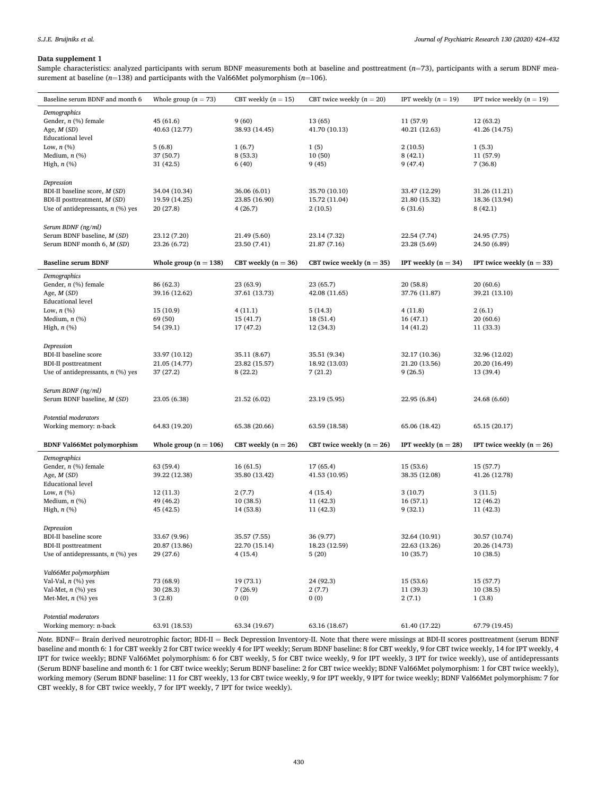# <span id="page-7-0"></span>**Data supplement 1**

Sample characteristics: analyzed participants with serum BDNF measurements both at baseline and posttreatment (*n*=73), participants with a serum BDNF measurement at baseline (*n*=138) and participants with the Val66Met polymorphism (*n*=106).

| Baseline serum BDNF and month 6     | Whole group $(n = 73)$  | CBT weekly $(n = 15)$ | CBT twice weekly $(n = 20)$ | IPT weekly $(n = 19)$ | IPT twice weekly $(n = 19)$ |
|-------------------------------------|-------------------------|-----------------------|-----------------------------|-----------------------|-----------------------------|
| Demographics                        |                         |                       |                             |                       |                             |
| Gender, $n$ (%) female              | 45 (61.6)               | 9(60)                 | 13 (65)                     | 11 (57.9)             | 12 (63.2)                   |
| Age, $M(SD)$                        | 40.63 (12.77)           | 38.93 (14.45)         | 41.70 (10.13)               | 40.21 (12.63)         | 41.26 (14.75)               |
| <b>Educational level</b>            |                         |                       |                             |                       |                             |
| Low, $n$ $(\%)$                     | 5(6.8)                  | 1(6.7)                | 1(5)                        | 2(10.5)               | 1(5.3)                      |
| Medium, $n$ $(\%)$                  | 37 (50.7)               | 8 (53.3)              | 10(50)                      | 8(42.1)               | 11 (57.9)                   |
| High, $n$ $(\%)$                    | 31(42.5)                | 6(40)                 | 9(45)                       | 9(47.4)               | 7(36.8)                     |
|                                     |                         |                       |                             |                       |                             |
| Depression                          |                         |                       |                             |                       |                             |
| BDI-II baseline score, M (SD)       | 34.04 (10.34)           | 36.06 (6.01)          | 35.70 (10.10)               | 33.47 (12.29)         | 31.26 (11.21)               |
| BDI-II posttreatment, M (SD)        | 19.59 (14.25)           | 23.85 (16.90)         | 15.72 (11.04)               | 21.80 (15.32)         | 18.36 (13.94)               |
| Use of antidepressants, $n$ (%) yes | 20 (27.8)               | 4(26.7)               | 2(10.5)                     | 6(31.6)               | 8(42.1)                     |
|                                     |                         |                       |                             |                       |                             |
| Serum BDNF (ng/ml)                  |                         |                       |                             |                       |                             |
| Serum BDNF baseline, M (SD)         | 23.12 (7.20)            | 21.49 (5.60)          | 23.14 (7.32)                | 22.54 (7.74)          | 24.95 (7.75)                |
| Serum BDNF month 6, M (SD)          | 23.26 (6.72)            | 23.50 (7.41)          | 21.87 (7.16)                | 23.28 (5.69)          | 24.50 (6.89)                |
|                                     |                         |                       |                             |                       |                             |
| <b>Baseline serum BDNF</b>          | Whole group $(n = 138)$ | CBT weekly $(n = 36)$ | CBT twice weekly $(n = 35)$ | IPT weekly $(n = 34)$ | IPT twice weekly $(n = 33)$ |
| Demographics                        |                         |                       |                             |                       |                             |
| Gender, $n$ (%) female              | 86 (62.3)               | 23 (63.9)             | 23 (65.7)                   | 20(58.8)              | 20(60.6)                    |
| Age, $M(SD)$                        | 39.16 (12.62)           | 37.61 (13.73)         | 42.08 (11.65)               | 37.76 (11.87)         | 39.21 (13.10)               |
| <b>Educational</b> level            |                         |                       |                             |                       |                             |
| Low, $n$ $(\%)$                     | 15 (10.9)               | 4(11.1)               | 5(14.3)                     | 4(11.8)               | 2(6.1)                      |
| Medium, $n$ (%)                     | 69 (50)                 | 15(41.7)              | 18 (51.4)                   | 16(47.1)              | 20(60.6)                    |
| High, $n$ $(\%)$                    | 54 (39.1)               | 17 (47.2)             | 12 (34.3)                   | 14 (41.2)             | 11 (33.3)                   |
|                                     |                         |                       |                             |                       |                             |
| Depression                          |                         |                       |                             |                       |                             |
| <b>BDI-II</b> baseline score        | 33.97 (10.12)           | 35.11 (8.67)          | 35.51 (9.34)                | 32.17 (10.36)         | 32.96 (12.02)               |
| <b>BDI-II</b> posttreatment         | 21.05 (14.77)           | 23.82 (15.57)         | 18.92 (13.03)               | 21.20 (13.56)         | 20.20 (16.49)               |
| Use of antidepressants, $n$ (%) yes | 37 (27.2)               | 8(22.2)               | 7(21.2)                     | 9(26.5)               | 13 (39.4)                   |
|                                     |                         |                       |                             |                       |                             |
| Serum BDNF (ng/ml)                  |                         |                       |                             |                       |                             |
| Serum BDNF baseline, M (SD)         | 23.05 (6.38)            | 21.52 (6.02)          | 23.19 (5.95)                | 22.95 (6.84)          | 24.68 (6.60)                |
|                                     |                         |                       |                             |                       |                             |
| Potential moderators                |                         |                       |                             |                       |                             |
| Working memory: n-back              | 64.83 (19.20)           | 65.38 (20.66)         | 63.59 (18.58)               | 65.06 (18.42)         | 65.15 (20.17)               |
|                                     |                         |                       |                             |                       |                             |
| <b>BDNF Val66Met polymorphism</b>   | Whole group $(n = 106)$ | CBT weekly $(n = 26)$ | CBT twice weekly $(n = 26)$ | IPT weekly $(n = 28)$ | IPT twice weekly $(n = 26)$ |
| Demographics                        |                         |                       |                             |                       |                             |
| Gender, $n$ (%) female              | 63 (59.4)               | 16(61.5)              | 17 (65.4)                   | 15 (53.6)             | 15 (57.7)                   |
| Age, $M(SD)$                        | 39.22 (12.38)           | 35.80 (13.42)         | 41.53 (10.95)               | 38.35 (12.08)         | 41.26 (12.78)               |
| <b>Educational level</b>            |                         |                       |                             |                       |                             |
| Low, $n$ $(\%)$                     | 12(11.3)                | 2(7.7)                | 4(15.4)                     | 3(10.7)               | 3(11.5)                     |
| Medium, $n$ (%)                     | 49 (46.2)               | 10(38.5)              | 11 (42.3)                   | 16(57.1)              | 12 (46.2)                   |
| High, $n$ $(\%)$                    | 45 (42.5)               | 14 (53.8)             | 11 (42.3)                   | 9(32.1)               | 11 (42.3)                   |
|                                     |                         |                       |                             |                       |                             |
| Depression                          |                         |                       |                             |                       |                             |
| <b>BDI-II</b> baseline score        | 33.67 (9.96)            | 35.57 (7.55)          | 36 (9.77)                   | 32.64 (10.91)         | 30.57 (10.74)               |
| <b>BDI-II</b> posttreatment         | 20.87 (13.86)           | 22.70 (15.14)         | 18.23 (12.59)               | 22.63 (13.26)         | 20.26 (14.73)               |
| Use of antidepressants, $n$ (%) yes | 29 (27.6)               | 4(15.4)               | 5(20)                       | 10(35.7)              | 10(38.5)                    |
|                                     |                         |                       |                             |                       |                             |
| Val66Met polymorphism               |                         |                       |                             |                       |                             |
| Val-Val, $n$ (%) yes                | 73 (68.9)               | 19 (73.1)             | 24 (92.3)                   | 15(53.6)              | 15(57.7)                    |
| Val-Met, $n$ (%) yes                | 30 (28.3)               | 7(26.9)               | 2(7.7)                      | 11 (39.3)             | 10(38.5)                    |
| Met-Met, $n$ (%) yes                | 3(2.8)                  | 0(0)                  | 0(0)                        | 2(7.1)                | 1(3.8)                      |
|                                     |                         |                       |                             |                       |                             |
| Potential moderators                |                         |                       |                             |                       |                             |
| Working memory: n-back              | 63.91 (18.53)           | 63.34 (19.67)         | 63.16 (18.67)               | 61.40 (17.22)         | 67.79 (19.45)               |
|                                     |                         |                       |                             |                       |                             |

*Note.* BDNF= Brain derived neurotrophic factor; BDI-II = Beck Depression Inventory-II. Note that there were missings at BDI-II scores posttreatment (serum BDNF baseline and month 6: 1 for CBT weekly 2 for CBT twice weekly 4 for IPT weekly; Serum BDNF baseline: 8 for CBT weekly, 9 for CBT twice weekly, 14 for IPT weekly, 4 IPT for twice weekly; BDNF Val66Met polymorphism: 6 for CBT weekly, 5 for CBT twice weekly, 9 for IPT weekly, 3 IPT for twice weekly), use of antidepressants (Serum BDNF baseline and month 6: 1 for CBT twice weekly; Serum BDNF baseline: 2 for CBT twice weekly; BDNF Val66Met polymorphism: 1 for CBT twice weekly), working memory (Serum BDNF baseline: 11 for CBT weekly, 13 for CBT twice weekly, 9 for IPT weekly, 9 IPT for twice weekly; BDNF Val66Met polymorphism: 7 for CBT weekly, 8 for CBT twice weekly, 7 for IPT weekly, 7 IPT for twice weekly).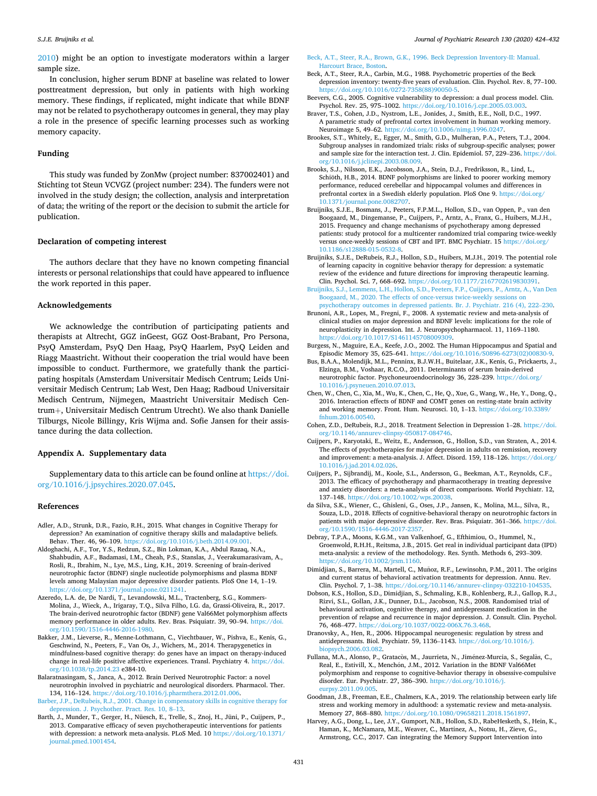#### <span id="page-8-0"></span>*S.J.E. Bruijniks et al.*

[2010\)](#page-9-0) might be an option to investigate moderators within a larger sample size.

In conclusion, higher serum BDNF at baseline was related to lower posttreatment depression, but only in patients with high working memory. These findings, if replicated, might indicate that while BDNF may not be related to psychotherapy outcomes in general, they may play a role in the presence of specific learning processes such as working memory capacity.

# **Funding**

This study was funded by ZonMw (project number: 837002401) and Stichting tot Steun VCVGZ (project number: 234). The funders were not involved in the study design; the collection, analysis and interpretation of data; the writing of the report or the decision to submit the article for publication.

#### **Declaration of competing interest**

The authors declare that they have no known competing financial interests or personal relationships that could have appeared to influence the work reported in this paper.

#### **Acknowledgements**

We acknowledge the contribution of participating patients and therapists at Altrecht, GGZ inGeest, GGZ Oost-Brabant, Pro Persona, PsyQ Amsterdam, PsyQ Den Haag, PsyQ Haarlem, PsyQ Leiden and Riagg Maastricht. Without their cooperation the trial would have been impossible to conduct. Furthermore, we gratefully thank the participating hospitals (Amsterdam Universitair Medisch Centrum; Leids Universitair Medisch Centrum; Lab West, Den Haag; Radboud Universitair Medisch Centrum, Nijmegen, Maastricht Universitair Medisch Centrum+, Universitair Medisch Centrum Utrecht). We also thank Danielle Tilburgs, Nicole Billingy, Kris Wijma and. Sofie Jansen for their assistance during the data collection.

#### **Appendix A. Supplementary data**

Supplementary data to this article can be found online at [https://doi.](https://doi.org/10.1016/j.jpsychires.2020.07.045)  [org/10.1016/j.jpsychires.2020.07.045.](https://doi.org/10.1016/j.jpsychires.2020.07.045)

#### **References**

- Adler, A.D., Strunk, D.R., Fazio, R.H., 2015. What changes in Cognitive Therapy for depression? An examination of cognitive therapy skills and maladaptive beliefs. Behav. Ther. 46, 96–109. <https://doi.org/10.1016/j.beth.2014.09.001>.
- Aldoghachi, A.F., Tor, Y.S., Redzun, S.Z., Bin Lokman, K.A., Abdul Razaq, N.A., Shahbudin, A.F., Badamasi, I.M., Cheah, P.S., Stanslas, J., Veerakumarasivam, A., Rosli, R., Ibrahim, N., Lye, M.S., Ling, K.H., 2019. Screening of brain-derived neurotrophic factor (BDNF) single nucleotide polymorphisms and plasma BDNF levels among Malaysian major depressive disorder patients. PloS One 14, 1–19. <https://doi.org/10.1371/journal.pone.0211241>.
- Azeredo, L.A. de, De Nardi, T., Levandowski, M.L., Tractenberg, S.G., Kommers-Molina, J., Wieck, A., Irigaray, T.Q., Silva Filho, I.G. da, Grassi-Oliveira, R., 2017. The brain-derived neurotrophic factor (BDNF) gene Val66Met polymorphism affects memory performance in older adults. Rev. Bras. Psiquiatr. 39, 90–94. [https://doi.](https://doi.org/10.1590/1516-4446-2016-1980) [org/10.1590/1516-4446-2016-1980.](https://doi.org/10.1590/1516-4446-2016-1980)
- Bakker, J.M., Lieverse, R., Menne-Lothmann, C., Viechtbauer, W., Pishva, E., Kenis, G., Geschwind, N., Peeters, F., Van Os, J., Wichers, M., 2014. Therapygenetics in mindfulness-based cognitive therapy: do genes have an impact on therapy-induced change in real-life positive affective experiences. Transl. Psychiatry 4. [https://doi.](https://doi.org/10.1038/tp.2014.23) [org/10.1038/tp.2014.23](https://doi.org/10.1038/tp.2014.23) e384-10.
- Balaratnasingam, S., Janca, A., 2012. Brain Derived Neurotrophic Factor: a novel neurotrophin involved in psychiatric and neurological disorders. Pharmacol. Ther. 134, 116–124. <https://doi.org/10.1016/j.pharmthera.2012.01.006>.
- [Barber, J.P., DeRubeis, R.J., 2001. Change in compensatory skills in cognitive therapy for](http://refhub.elsevier.com/S0022-3956(20)30910-9/sref6)  [depression. J. Psychother. Pract. Res. 10, 8](http://refhub.elsevier.com/S0022-3956(20)30910-9/sref6)–13.
- Barth, J., Munder, T., Gerger, H., Nüesch, E., Trelle, S., Znoj, H., Jüni, P., Cuijpers, P., 2013. Comparative efficacy of seven psychotherapeutic interventions for patients with depression: a network meta-analysis. PLoS Med. 10 [https://doi.org/10.1371/](https://doi.org/10.1371/journal.pmed.1001454)  [journal.pmed.1001454](https://doi.org/10.1371/journal.pmed.1001454).
- [Beck, A.T., Steer, R.A., Brown, G.K., 1996. Beck Depression Inventory-II: Manual.](http://refhub.elsevier.com/S0022-3956(20)30910-9/sref8) [Harcourt Brace, Boston.](http://refhub.elsevier.com/S0022-3956(20)30910-9/sref8)
- Beck, A.T., Steer, R.A., Carbin, M.G., 1988. Psychometric properties of the Beck depression inventory: twenty-five years of evaluation. Clin. Psychol. Rev. 8, 77–100. [https://doi.org/10.1016/0272-7358\(88\)90050-5.](https://doi.org/10.1016/0272-7358(88)90050-5)
- Beevers, C.G., 2005. Cognitive vulnerability to depression: a dual process model. Clin. Psychol. Rev. 25, 975–1002. <https://doi.org/10.1016/j.cpr.2005.03.003>.
- Braver, T.S., Cohen, J.D., Nystrom, L.E., Jonides, J., Smith, E.E., Noll, D.C., 1997. A parametric study of prefrontal cortex involvement in human working memory. Neuroimage 5, 49–62. <https://doi.org/10.1006/nimg.1996.0247>.
- Brookes, S.T., Whitely, E., Egger, M., Smith, G.D., Mulheran, P.A., Peters, T.J., 2004. Subgroup analyses in randomized trials: risks of subgroup-specific analyses; power and sample size for the interaction test. J. Clin. Epidemiol. 57, 229–236. [https://doi.](https://doi.org/10.1016/j.jclinepi.2003.08.009)  [org/10.1016/j.jclinepi.2003.08.009.](https://doi.org/10.1016/j.jclinepi.2003.08.009)
- Brooks, S.J., Nilsson, E.K., Jacobsson, J.A., Stein, D.J., Fredriksson, R., Lind, L., Schiöth, H.B., 2014. BDNF polymorphisms are linked to poorer working memory performance, reduced cerebellar and hippocampal volumes and differences in prefrontal cortex in a Swedish elderly population. PloS One 9. [https://doi.org/](https://doi.org/10.1371/journal.pone.0082707)  [10.1371/journal.pone.0082707.](https://doi.org/10.1371/journal.pone.0082707)
- Bruijniks, S.J.E., Bosmans, J., Peeters, F.P.M.L., Hollon, S.D., van Oppen, P., van den Boogaard, M., Dingemanse, P., Cuijpers, P., Arntz, A., Franx, G., Huibers, M.J.H., 2015. Frequency and change mechanisms of psychotherapy among depressed patients: study protocol for a multicenter randomized trial comparing twice-weekly versus once-weekly sessions of CBT and IPT. BMC Psychiatr. 15 https://doi.org/ [10.1186/s12888-015-0532-8](https://doi.org/10.1186/s12888-015-0532-8).
- Bruijniks, S.J.E., DeRubeis, R.J., Hollon, S.D., Huibers, M.J.H., 2019. The potential role of learning capacity in cognitive behavior therapy for depression: a systematic review of the evidence and future directions for improving therapeutic learning. Clin. Psychol. Sci. 7, 668–692. [https://doi.org/10.1177/2167702619830391.](https://doi.org/10.1177/2167702619830391)
- [Bruijniks, S.J., Lemmens, L.H., Hollon, S.D., Peeters, F.P., Cuijpers, P., Arntz, A., Van Den](http://refhub.elsevier.com/S0022-3956(20)30910-9/sref16)  [Boogaard, M., 2020. The effects of once-versus twice-weekly sessions on](http://refhub.elsevier.com/S0022-3956(20)30910-9/sref16) [psychotherapy outcomes in depressed patients. Br. J. Psychiatr. 216 \(4\), 222](http://refhub.elsevier.com/S0022-3956(20)30910-9/sref16)–230.
- Brunoni, A.R., Lopes, M., Fregni, F., 2008. A systematic review and meta-analysis of clinical studies on major depression and BDNF levels: implications for the role of neuroplasticity in depression. Int. J. Neuropsychopharmacol. 11, 1169–1180. <https://doi.org/10.1017/S1461145708009309>.
- Burgess, N., Maguire, E.A., Keefe, J.O., 2002. The Human Hippocampus and Spatial and Episodic Memory 35, 625–641. [https://doi.org/10.1016/S0896-6273\(02\)00830-9](https://doi.org/10.1016/S0896-6273(02)00830-9).
- Bus, B.A.A., Molendijk, M.L., Penninx, B.J.W.H., Buitelaar, J.K., Kenis, G., Prickaerts, J., Elzinga, B.M., Voshaar, R.C.O., 2011. Determinants of serum brain-derived neurotrophic factor. Psychoneuroendocrinology 36, 228–239. [https://doi.org/](https://doi.org/10.1016/j.psyneuen.2010.07.013) [10.1016/j.psyneuen.2010.07.013.](https://doi.org/10.1016/j.psyneuen.2010.07.013)
- Chen, W., Chen, C., Xia, M., Wu, K., Chen, C., He, Q., Xue, G., Wang, W., He, Y., Dong, Q., 2016. Interaction effects of BDNF and COMT genes on resting-state brain activity and working memory. Front. Hum. Neurosci. 10, 1–13. [https://doi.org/10.3389/](https://doi.org/10.3389/fnhum.2016.00540)  [fnhum.2016.00540.](https://doi.org/10.3389/fnhum.2016.00540)
- Cohen, Z.D., DeRubeis, R.J., 2018. Treatment Selection in Depression 1–28. [https://doi.](https://doi.org/10.1146/annurev-clinpsy-050817-084746)  [org/10.1146/annurev-clinpsy-050817-084746.](https://doi.org/10.1146/annurev-clinpsy-050817-084746)
- Cuijpers, P., Karyotaki, E., Weitz, E., Andersson, G., Hollon, S.D., van Straten, A., 2014. The effects of psychotherapies for major depression in adults on remission, recovery and improvement: a meta-analysis. J. Affect. Disord. 159, 118–126. [https://doi.org/](https://doi.org/10.1016/j.jad.2014.02.026)  [10.1016/j.jad.2014.02.026](https://doi.org/10.1016/j.jad.2014.02.026).
- Cuijpers, P., Sijbrandij, M., Koole, S.L., Andersson, G., Beekman, A.T., Reynolds, C.F., 2013. The efficacy of psychotherapy and pharmacotherapy in treating depressive and anxiety disorders: a meta-analysis of direct comparisons. World Psychiatr. 12, 137–148. [https://doi.org/10.1002/wps.20038.](https://doi.org/10.1002/wps.20038)
- da Silva, S.K., Wiener, C., Ghisleni, G., Oses, J.P., Jansen, K., Molina, M.L., Silva, R., Souza, L.D., 2018. Effects of cognitive-behavioral therapy on neurotrophic factors in patients with major depressive disorder. Rev. Bras. Psiquiatr. 361–366. [https://doi.](https://doi.org/10.1590/1516-4446-2017-2357)  [org/10.1590/1516-4446-2017-2357.](https://doi.org/10.1590/1516-4446-2017-2357)
- Debray, T.P.A., Moons, K.G.M., van Valkenhoef, G., Efthimiou, O., Hummel, N., Groenwold, R.H.H., Reitsma, J.B., 2015. Get real in individual participant data (IPD) meta-analysis: a review of the methodology. Res. Synth. Methods 6, 293–309. [https://doi.org/10.1002/jrsm.1160.](https://doi.org/10.1002/jrsm.1160)
- Dimidjian, S., Barrera, M., Martell, C., Muñoz, R.F., Lewinsohn, P.M., 2011. The origins and current status of behavioral activation treatments for depression. Annu. Rev. Clin. Psychol. 7, 1–38. [https://doi.org/10.1146/annurev-clinpsy-032210-104535.](https://doi.org/10.1146/annurev-clinpsy-032210-104535)
- Dobson, K.S., Hollon, S.D., Dimidjian, S., Schmaling, K.B., Kohlenberg, R.J., Gallop, R.J., Rizvi, S.L., Gollan, J.K., Dunner, D.L., Jacobson, N.S., 2008. Randomised trial of behavioural activation, cognitive therapy, and antidepressant medication in the prevention of relapse and recurrence in major depression. J. Consult. Clin. Psychol. 76, 468–477.<https://doi.org/10.1037/0022-006X.76.3.468>.
- Dranovsky, A., Hen, R., 2006. Hippocampal neurogenesis: regulation by stress and antidepressants. Biol. Psychiatr. 59, 1136–1143. [https://doi.org/10.1016/j.](https://doi.org/10.1016/j.biopsych.2006.03.082) [biopsych.2006.03.082](https://doi.org/10.1016/j.biopsych.2006.03.082).
- Fullana, M.A., Alonso, P., Gratacòs, M., Jaurrieta, N., Jiménez-Murcia, S., Segalàs, C., Real, E., Estivill, X., Menchón, J.M., 2012. Variation in the BDNF Val66Met polymorphism and response to cognitive-behavior therapy in obsessive-compulsive disorder. Eur. Psychiatr. 27, 386–390. [https://doi.org/10.1016/j.](https://doi.org/10.1016/j.eurpsy.2011.09.005)  [eurpsy.2011.09.005.](https://doi.org/10.1016/j.eurpsy.2011.09.005)
- Goodman, J.B., Freeman, E.E., Chalmers, K.A., 2019. The relationship between early life stress and working memory in adulthood: a systematic review and meta-analysis. Memory 27, 868–880. <https://doi.org/10.1080/09658211.2018.1561897>.
- Harvey, A.G., Dong, L., Lee, J.Y., Gumport, N.B., Hollon, S.D., RabeHesketh, S., Hein, K., Haman, K., McNamara, M.E., Weaver, C., Martinez, A., Notsu, H., Zieve, G., Armstrong, C.C., 2017. Can integrating the Memory Support Intervention into